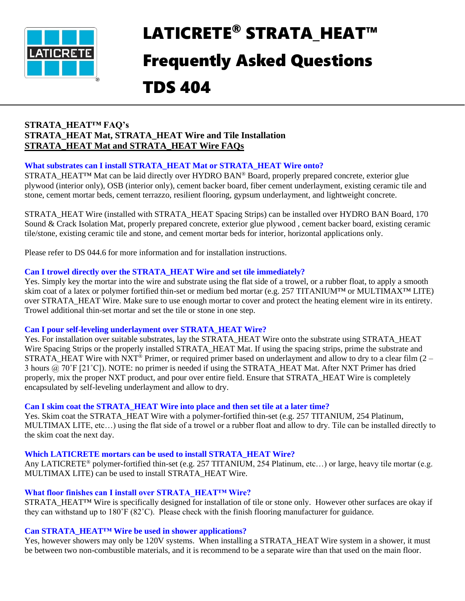

# LATICRETE® STRATA\_HEAT™ Frequently Asked Questions

# TDS 404

# **STRATA\_HEAT™ FAQ's STRATA\_HEAT Mat, STRATA\_HEAT Wire and Tile Installation STRATA\_HEAT Mat and STRATA\_HEAT Wire FAQs**

# **What substrates can I install STRATA\_HEAT Mat or STRATA\_HEAT Wire onto?**

STRATA\_HEAT<sup>™</sup> Mat can be laid directly over HYDRO BAN<sup>®</sup> Board, properly prepared concrete, exterior glue plywood (interior only), OSB (interior only), cement backer board, fiber cement underlayment, existing ceramic tile and stone, cement mortar beds, cement terrazzo, resilient flooring, gypsum underlayment, and lightweight concrete.

STRATA\_HEAT Wire (installed with STRATA\_HEAT Spacing Strips) can be installed over HYDRO BAN Board, 170 Sound & Crack Isolation Mat, properly prepared concrete, exterior glue plywood , cement backer board, existing ceramic tile/stone, existing ceramic tile and stone, and cement mortar beds for interior, horizontal applications only.

Please refer to DS 044.6 for more information and for installation instructions.

# **Can I trowel directly over the STRATA\_HEAT Wire and set tile immediately?**

Yes. Simply key the mortar into the wire and substrate using the flat side of a trowel, or a rubber float, to apply a smooth skim coat of a latex or polymer fortified thin-set or medium bed mortar (e.g. 257 TITANIUM™ or MULTIMAX™ LITE) over STRATA\_HEAT Wire. Make sure to use enough mortar to cover and protect the heating element wire in its entirety. Trowel additional thin-set mortar and set the tile or stone in one step.

#### **Can I pour self-leveling underlayment over STRATA\_HEAT Wire?**

Yes. For installation over suitable substrates, lay the STRATA\_HEAT Wire onto the substrate using STRATA\_HEAT Wire Spacing Strips or the properly installed STRATA\_HEAT Mat. If using the spacing strips, prime the substrate and STRATA\_HEAT Wire with NXT<sup>®</sup> Primer, or required primer based on underlayment and allow to dry to a clear film  $(2 -$ 3 hours @ 70˚F [21˚C]). NOTE: no primer is needed if using the STRATA\_HEAT Mat. After NXT Primer has dried properly, mix the proper NXT product, and pour over entire field. Ensure that STRATA\_HEAT Wire is completely encapsulated by self-leveling underlayment and allow to dry.

# **Can I skim coat the STRATA\_HEAT Wire into place and then set tile at a later time?**

Yes. Skim coat the STRATA\_HEAT Wire with a polymer-fortified thin-set (e.g. 257 TITANIUM, 254 Platinum, MULTIMAX LITE, etc…) using the flat side of a trowel or a rubber float and allow to dry. Tile can be installed directly to the skim coat the next day.

# **Which LATICRETE mortars can be used to install STRATA\_HEAT Wire?**

Any LATICRETE® polymer-fortified thin-set (e.g. 257 TITANIUM, 254 Platinum, etc…) or large, heavy tile mortar (e.g. MULTIMAX LITE) can be used to install STRATA\_HEAT Wire.

# **What floor finishes can I install over STRATA\_HEAT™ Wire?**

STRATA\_HEAT<sup>™</sup> Wire is specifically designed for installation of tile or stone only. However other surfaces are okay if they can withstand up to 180˚F (82˚C). Please check with the finish flooring manufacturer for guidance.

# **Can STRATA\_HEAT™ Wire be used in shower applications?**

Yes, however showers may only be 120V systems. When installing a STRATA\_HEAT Wire system in a shower, it must be between two non-combustible materials, and it is recommend to be a separate wire than that used on the main floor.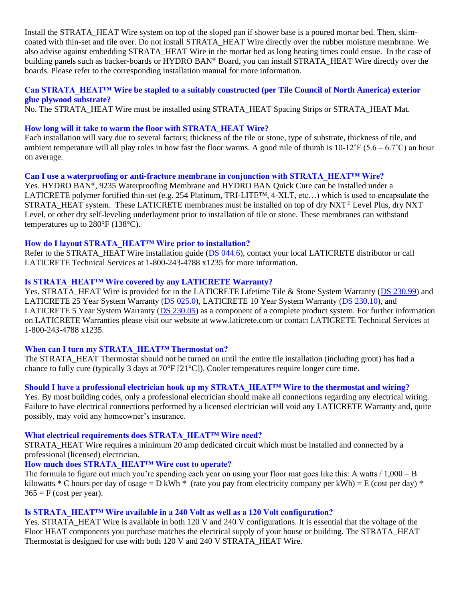Install the STRATA\_HEAT Wire system on top of the sloped pan if shower base is a poured mortar bed. Then, skimcoated with thin-set and tile over. Do not install STRATA\_HEAT Wire directly over the rubber moisture membrane. We also advise against embedding STRATA\_HEAT Wire in the mortar bed as long heating times could ensue. In the case of building panels such as backer-boards or HYDRO BAN<sup>®</sup> Board, you can install STRATA\_HEAT Wire directly over the boards. Please refer to the corresponding installation manual for more information.

# **Can STRATA\_HEAT™ Wire be stapled to a suitably constructed (per Tile Council of North America) exterior glue plywood substrate?**

No. The STRATA\_HEAT Wire must be installed using STRATA\_HEAT Spacing Strips or STRATA\_HEAT Mat.

#### **How long will it take to warm the floor with STRATA\_HEAT Wire?**

Each installation will vary due to several factors; thickness of the tile or stone, type of substrate, thickness of tile, and ambient temperature will all play roles in how fast the floor warms. A good rule of thumb is  $10\text{-}12\text{°F}$  (5.6 – 6.7°C) an hour on average.

#### **Can I use a waterproofing or anti-fracture membrane in conjunction with STRATA\_HEAT™ Wire?**

Yes. HYDRO BAN®, 9235 Waterproofing Membrane and HYDRO BAN Quick Cure can be installed under a LATICRETE polymer fortified thin-set (e.g. 254 Platinum, TRI-LITE™, 4-XLT, etc…) which is used to encapsulate the STRATA\_HEAT system. These LATICRETE membranes must be installed on top of dry NXT<sup>®</sup> Level Plus, dry NXT Level, or other dry self-leveling underlayment prior to installation of tile or stone. These membranes can withstand temperatures up to 280°F (138°C).

#### **How do I layout STRATA\_HEAT™ Wire prior to installation?**

Refer to the STRATA\_HEAT Wire installation guide [\(DS 044.6\)](https://cdn.laticrete.com/~/media/product-documents/installation-information/ds0446-sh-wire-installation-manual.ashx), contact your local LATICRETE distributor or call LATICRETE Technical Services at 1-800-243-4788 x1235 for more information.

# **Is STRATA\_HEAT™ Wire covered by any LATICRETE Warranty?**

Yes. STRATA HEAT Wire is provided for in the LATICRETE Lifetime Tile & Stone System Warranty [\(DS 230.99\)](https://cdn.laticrete.com/~/media/support-and-downloads/warranties/ds23099_lifetime-system-warranty.ashx) and LATICRETE 25 Year System Warranty [\(DS 025.0\)](https://cdn.laticrete.com/~/media/support-and-downloads/warranties/ds0250.ashx), LATICRETE 10 Year System Warranty [\(DS 230.10\)](https://cdn.laticrete.com/~/media/support-and-downloads/warranties/ds23010-10-year-system-warranty.ashx), and LATICRETE 5 Year System Warranty [\(DS 230.05\)](https://cdn.laticrete.com/~/media/support-and-downloads/warranties/ds23005_5-year-system-warranty.ashx) as a component of a complete product system. For further information on LATICRETE Warranties please visit our website at www.laticrete.com or contact LATICRETE Technical Services at 1-800-243-4788 x1235.

#### **When can I turn my STRATA\_HEAT™ Thermostat on?**

The STRATA\_HEAT Thermostat should not be turned on until the entire tile installation (including grout) has had a chance to fully cure (typically 3 days at 70 $\degree$ F [21 $\degree$ C]). Cooler temperatures require longer cure time.

#### **Should I have a professional electrician hook up my STRATA\_HEAT™ Wire to the thermostat and wiring?**

Yes. By most building codes, only a professional electrician should make all connections regarding any electrical wiring. Failure to have electrical connections performed by a licensed electrician will void any LATICRETE Warranty and, quite possibly, may void any homeowner's insurance.

# **What electrical requirements does STRATA\_HEAT™ Wire need?**

STRATA\_HEAT Wire requires a minimum 20 amp dedicated circuit which must be installed and connected by a professional (licensed) electrician.

# **How much does STRATA\_HEAT™ Wire cost to operate?**

The formula to figure out much you're spending each year on using your floor mat goes like this: A watts  $/ 1,000 = B$ kilowatts \* C hours per day of usage = D kWh \* (rate you pay from electricity company per kWh) = E (cost per day) \*  $365 = F$  (cost per year).

#### **Is STRATA\_HEAT™ Wire available in a 240 Volt as well as a 120 Volt configuration?**

Yes. STRATA\_HEAT Wire is available in both 120 V and 240 V configurations. It is essential that the voltage of the Floor HEAT components you purchase matches the electrical supply of your house or building. The STRATA\_HEAT Thermostat is designed for use with both 120 V and 240 V STRATA\_HEAT Wire.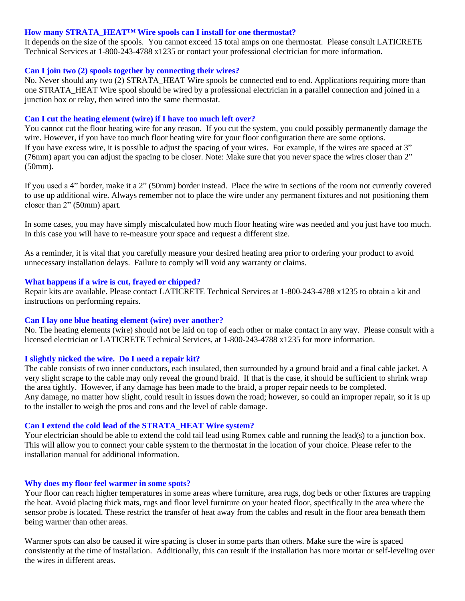#### **How many STRATA\_HEAT™ Wire spools can I install for one thermostat?**

It depends on the size of the spools. You cannot exceed 15 total amps on one thermostat. Please consult LATICRETE Technical Services at 1-800-243-4788 x1235 or contact your professional electrician for more information.

#### **Can I join two (2) spools together by connecting their wires?**

No. Never should any two (2) STRATA\_HEAT Wire spools be connected end to end. Applications requiring more than one STRATA\_HEAT Wire spool should be wired by a professional electrician in a parallel connection and joined in a junction box or relay, then wired into the same thermostat.

#### **Can I cut the heating element (wire) if I have too much left over?**

You cannot cut the floor heating wire for any reason. If you cut the system, you could possibly permanently damage the wire. However, if you have too much floor heating wire for your floor configuration there are some options. If you have excess wire, it is possible to adjust the spacing of your wires. For example, if the wires are spaced at 3" (76mm) apart you can adjust the spacing to be closer. Note: Make sure that you never space the wires closer than 2" (50mm).

If you used a 4" border, make it a 2" (50mm) border instead. Place the wire in sections of the room not currently covered to use up additional wire. Always remember not to place the wire under any permanent fixtures and not positioning them closer than 2" (50mm) apart.

In some cases, you may have simply miscalculated how much floor heating wire was needed and you just have too much. In this case you will have to re-measure your space and request a different size.

As a reminder, it is vital that you carefully measure your desired heating area prior to ordering your product to avoid unnecessary installation delays. Failure to comply will void any warranty or claims.

#### **What happens if a wire is cut, frayed or chipped?**

Repair kits are available. Please contact LATICRETE Technical Services at 1-800-243-4788 x1235 to obtain a kit and instructions on performing repairs.

#### **Can I lay one blue heating element (wire) over another?**

No. The heating elements (wire) should not be laid on top of each other or make contact in any way. Please consult with a licensed electrician or LATICRETE Technical Services, at 1-800-243-4788 x1235 for more information.

#### **I slightly nicked the wire. Do I need a repair kit?**

The cable consists of two inner conductors, each insulated, then surrounded by a ground braid and a final cable jacket. A very slight scrape to the cable may only reveal the ground braid. If that is the case, it should be sufficient to shrink wrap the area tightly. However, if any damage has been made to the braid, a proper repair needs to be completed. Any damage, no matter how slight, could result in issues down the road; however, so could an improper repair, so it is up to the installer to weigh the pros and cons and the level of cable damage.

#### **Can I extend the cold lead of the STRATA\_HEAT Wire system?**

Your electrician should be able to extend the cold tail lead using Romex cable and running the lead(s) to a junction box. This will allow you to connect your cable system to the thermostat in the location of your choice. Please refer to the installation manual for additional information.

#### **Why does my floor feel warmer in some spots?**

Your floor can reach higher temperatures in some areas where furniture, area rugs, dog beds or other fixtures are trapping the heat. Avoid placing thick mats, rugs and floor level furniture on your heated floor, specifically in the area where the sensor probe is located. These restrict the transfer of heat away from the cables and result in the floor area beneath them being warmer than other areas.

Warmer spots can also be caused if wire spacing is closer in some parts than others. Make sure the wire is spaced consistently at the time of installation. Additionally, this can result if the installation has more mortar or self-leveling over the wires in different areas.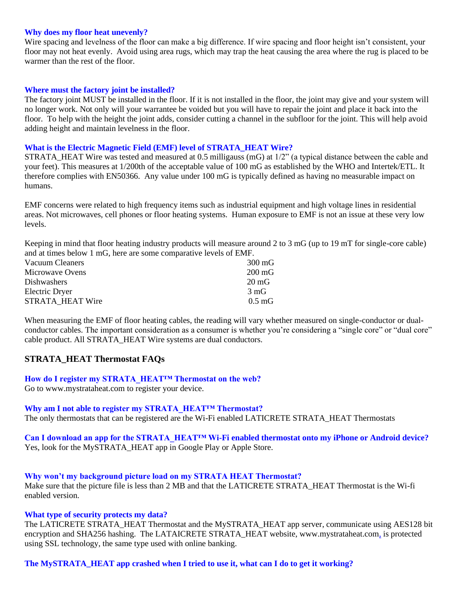#### **Why does my floor heat unevenly?**

Wire spacing and levelness of the floor can make a big difference. If wire spacing and floor height isn't consistent, your floor may not heat evenly. Avoid using area rugs, which may trap the heat causing the area where the rug is placed to be warmer than the rest of the floor.

#### **Where must the factory joint be installed?**

The factory joint MUST be installed in the floor. If it is not installed in the floor, the joint may give and your system will no longer work. Not only will your warrantee be voided but you will have to repair the joint and place it back into the floor. To help with the height the joint adds, consider cutting a channel in the subfloor for the joint. This will help avoid adding height and maintain levelness in the floor.

#### **What is the Electric Magnetic Field (EMF) level of STRATA\_HEAT Wire?**

STRATA\_HEAT Wire was tested and measured at 0.5 milligauss (mG) at 1/2" (a typical distance between the cable and your feet). This measures at 1/200th of the acceptable value of 100 mG as established by the WHO and Intertek/ETL. It therefore complies with EN50366. Any value under 100 mG is typically defined as having no measurable impact on humans.

EMF concerns were related to high frequency items such as industrial equipment and high voltage lines in residential areas. Not microwaves, cell phones or floor heating systems. Human exposure to EMF is not an issue at these very low levels.

Keeping in mind that floor heating industry products will measure around 2 to 3 mG (up to 19 mT for single-core cable) and at times below 1 mG, here are some comparative levels of EMF.

| Vacuum Cleaners    | $300 \,\mathrm{mG}$ |
|--------------------|---------------------|
| Microwaye Ovens    | $200 \text{ mG}$    |
| <b>Dishwashers</b> | $20 \text{ mG}$     |
| Electric Dryer     | $3 \text{ mG}$      |
| STRATA HEAT Wire   | $0.5 \,\mathrm{mG}$ |

When measuring the EMF of floor heating cables, the reading will vary whether measured on single-conductor or dualconductor cables. The important consideration as a consumer is whether you're considering a "single core" or "dual core" cable product. All STRATA\_HEAT Wire systems are dual conductors.

# **STRATA\_HEAT Thermostat FAQs**

#### **How do I register my STRATA\_HEAT™ Thermostat on the web?**

Go to www.mystrataheat.com to register your device.

#### **Why am I not able to register my STRATA\_HEAT™ Thermostat?**

The only thermostats that can be registered are the Wi-Fi enabled LATICRETE STRATA\_HEAT Thermostats

**Can I download an app for the STRATA\_HEAT™ Wi-Fi enabled thermostat onto my iPhone or Android device?** Yes, look for the MySTRATA\_HEAT app in Google Play or Apple Store.

#### **Why won't my background picture load on my STRATA HEAT Thermostat?**

Make sure that the picture file is less than 2 MB and that the LATICRETE STRATA\_HEAT Thermostat is the Wi-fi enabled version.

#### **What type of security protects my data?**

The LATICRETE STRATA\_HEAT Thermostat and the MySTRATA\_HEAT app server, communicate using AES128 bit encryption and SHA256 hashing. The LATAICRETE STRATA\_HEAT website, www.mystrataheat.com, is protected using SSL technology, the same type used with online banking.

#### **The MySTRATA\_HEAT app crashed when I tried to use it, what can I do to get it working?**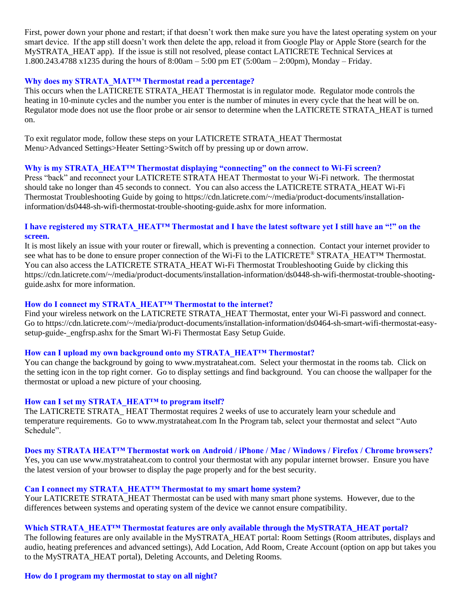First, power down your phone and restart; if that doesn't work then make sure you have the latest operating system on your smart device. If the app still doesn't work then delete the app, reload it from Google Play or Apple Store (search for the MySTRATA\_HEAT app). If the issue is still not resolved, please contact LATICRETE Technical Services at 1.800.243.4788 x1235 during the hours of 8:00am – 5:00 pm ET (5:00am – 2:00pm), Monday – Friday.

#### **Why does my STRATA\_MAT™ Thermostat read a percentage?**

This occurs when the LATICRETE STRATA\_HEAT Thermostat is in regulator mode. Regulator mode controls the heating in 10-minute cycles and the number you enter is the number of minutes in every cycle that the heat will be on. Regulator mode does not use the floor probe or air sensor to determine when the LATICRETE STRATA\_HEAT is turned on.

To exit regulator mode, follow these steps on your LATICRETE STRATA\_HEAT Thermostat Menu>Advanced Settings>Heater Setting>Switch off by pressing up or down arrow.

#### **Why is my STRATA\_HEAT™ Thermostat displaying "connecting" on the connect to Wi-Fi screen?**

Press "back" and reconnect your LATICRETE STRATA HEAT Thermostat to your Wi-Fi network. The thermostat should take no longer than 45 seconds to connect. You can also access the LATICRETE STRATA\_HEAT Wi-Fi Thermostat Troubleshooting Guide by going to https://cdn.laticrete.com/~/media/product-documents/installationinformation/ds0448-sh-wifi-thermostat-trouble-shooting-guide.ashx for more information.

#### **I have registered my STRATA\_HEAT™ Thermostat and I have the latest software yet I still have an "!" on the screen.**

It is most likely an issue with your router or firewall, which is preventing a connection. Contact your internet provider to see what has to be done to ensure proper connection of the Wi-Fi to the LATICRETE® STRATA\_HEAT<sup>™</sup> Thermostat. You can also access the LATICRETE STRATA\_HEAT Wi-Fi Thermostat Troubleshooting Guide by clicking this https://cdn.laticrete.com/~/media/product-documents/installation-information/ds0448-sh-wifi-thermostat-trouble-shootingguide.ashx for more information.

#### **How do I connect my STRATA\_HEAT™ Thermostat to the internet?**

Find your wireless network on the LATICRETE STRATA\_HEAT Thermostat, enter your Wi-Fi password and connect. Go to https://cdn.laticrete.com/~/media/product-documents/installation-information/ds0464-sh-smart-wifi-thermostat-easysetup-guide- engfrsp.ashx for the Smart Wi-Fi Thermostat Easy Setup Guide.

#### **How can I upload my own background onto my STRATA\_HEAT™ Thermostat?**

You can change the background by going to www.mystrataheat.com. Select your thermostat in the rooms tab. Click on the setting icon in the top right corner. Go to display settings and find background. You can choose the wallpaper for the thermostat or upload a new picture of your choosing.

#### **How can I set my STRATA\_HEAT™ to program itself?**

The LATICRETE STRATA HEAT Thermostat requires 2 weeks of use to accurately learn your schedule and temperature requirements. Go to www.mystrataheat.com In the Program tab, select your thermostat and select "Auto Schedule".

## **Does my STRATA HEAT™ Thermostat work on Android / iPhone / Mac / Windows / Firefox / Chrome browsers?**

Yes, you can use www.mystrataheat.com to control your thermostat with any popular internet browser. Ensure you have the latest version of your browser to display the page properly and for the best security.

#### **Can I connect my STRATA\_HEAT™ Thermostat to my smart home system?**

Your LATICRETE STRATA HEAT Thermostat can be used with many smart phone systems. However, due to the differences between systems and operating system of the device we cannot ensure compatibility.

#### Which STRATA\_HEAT<sup>™</sup> Thermostat features are only available through the MySTRATA\_HEAT portal?

The following features are only available in the MySTRATA\_HEAT portal: Room Settings (Room attributes, displays and audio, heating preferences and advanced settings), Add Location, Add Room, Create Account (option on app but takes you to the MySTRATA\_HEAT portal), Deleting Accounts, and Deleting Rooms.

# **How do I program my thermostat to stay on all night?**